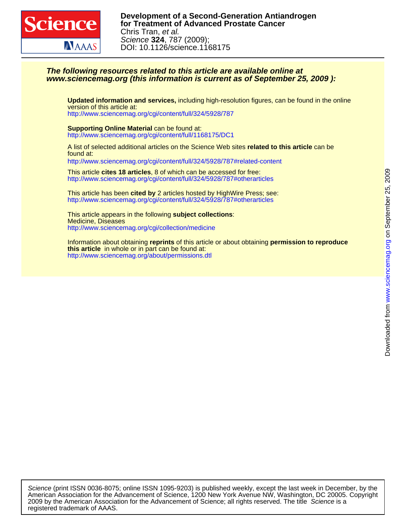

# **www.sciencemag.org (this information is current as of September 25, 2009 ): The following resources related to this article are available online at**

version of this article at: **Updated information and services,** including high-resolution figures, can be found in the online

<http://www.sciencemag.org/cgi/content/full/324/5928/787>

<http://www.sciencemag.org/cgi/content/full/1168175/DC1> **Supporting Online Material** can be found at:

found at: A list of selected additional articles on the Science Web sites **related to this article** can be <http://www.sciencemag.org/cgi/content/full/324/5928/787#related-content>

<http://www.sciencemag.org/cgi/content/full/324/5928/787#otherarticles> This article **cites 18 articles**, 8 of which can be accessed for free:

<http://www.sciencemag.org/cgi/content/full/324/5928/787#otherarticles> This article has been **cited by** 2 articles hosted by HighWire Press; see:

<http://www.sciencemag.org/cgi/collection/medicine> Medicine, Diseases This article appears in the following **subject collections**:

<http://www.sciencemag.org/about/permissions.dtl> **this article** in whole or in part can be found at: Information about obtaining **reprints** of this article or about obtaining **permission to reproduce**

registered trademark of AAAS. 2009 by the American Association for the Advancement of Science; all rights reserved. The title Science is a American Association for the Advancement of Science, 1200 New York Avenue NW, Washington, DC 20005. Copyright Science (print ISSN 0036-8075; online ISSN 1095-9203) is published weekly, except the last week in December, by the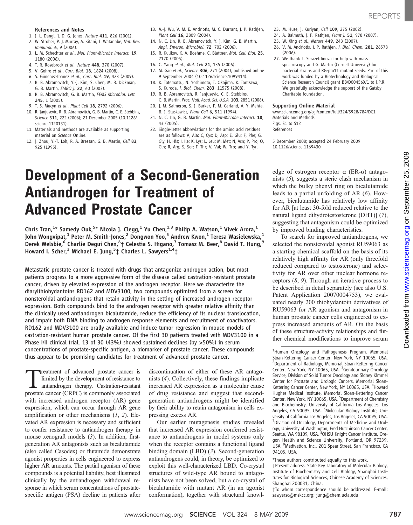- 1. J. L. Dangl, J. D. G. Jones, Nature 411, 826 (2001).
- 2. W. Strober, P. J. Murray, A. Kitani, T. Watanabe, Nat. Rev. Immunol. 6, 9 (2006).
- 3. L. M. Schechter et al., Mol. Plant-Microbe Interact. 19, 1180 (2006).
- 4. T. R. Rosebrock et al., Nature 448, 370 (2007).
- 5. V. Gohre et al., Curr. Biol. 18, 1824 (2008).
- 6. S. Gimenez-Ibanez et al., Curr. Biol. 19, 423 (2009).
- 7. R. B. Abramovitch, Y.-J. Kim, S. Chen, M. B. Dickman,
- G. B. Martin, EMBO J. 22, 60 (2003). 8. R. B. Abramovitch, G. B. Martin, FEMS Microbiol. Lett. 245, 1 (2005).
- 9. T. S. Mucyn et al., Plant Cell 18, 2792 (2006).
- 10. R. Janjusevic, R. B. Abramovitch, G. B. Martin, C. E. Stebbins, Science 311, 222 (2006); 21 December 2005 (10.1126/ science.1120131).
- 11. Materials and methods are available as supporting material on Science Online.
- 12. J. Zhou, Y.-T. Loh, R. A. Bressan, G. B. Martin, Cell 83, 925 (1995).
- 13. A.-J. Wu, V. M. E. Andriotis, M. C. Durrant, J. P. Rathjen, Plant Cell 16, 2809 (2004).
- 14. N. C. Lin, R. B. Abramovitch, Y. J. Kim, G. B. Martin, Appl. Environ. Microbiol. 72, 702 (2006).
- 15. R. Kulikov, K. A. Boehme, C. Blattner, Mol. Cell. Biol. 25, 7170 (2005).
- 16. C. Yang et al., Mol. Cell 21, 135 (2006).
- 17. M. Gao et al., Science 306, 271 (2004); published online 9 September 2004 (10.1126/science.1099414).
- 18. K. Tatematsu, N. Yoshimoto, T. Okajima, K. Tanizawa, S. Kuroda, J. Biol. Chem. 283, 11575 (2008). 19. R. B. Abramovitch, R. Janjusevic, C. E. Stebbins,
- G. B. Martin, Proc. Natl. Acad. Sci. U.S.A. 103, 2851 (2006).
- 20. J. M. Salmeron, S. J. Barker, F. M. Carland, A. Y. Mehta, B. J. Staskawicz, Plant Cell 6, 511 (1994).
- 21. N. C. Lin, G. B. Martin, Mol. Plant-Microbe Interact. 18, 43 (2005).
- 22. Single-letter abbreviations for the amino acid residues are as follows: A, Ala; C, Cys; D, Asp; E, Glu; F, Phe; G, Gly; H, His; I, Ile; K, Lys; L, Leu; M, Met; N, Asn; P, Pro; Q, Gln; R, Arg; S, Ser; T, Thr; V, Val; W, Trp; and Y, Tyr.
- 23. M. Huse, J. Kuriyan, Cell 109, 275 (2002). 24. A. Balmuth, I. P. Rathien, Plant I. 51, 978 (2007).
- 
- 25. W. Xing et al., Nature 449, 243 (2007).
- 26. V. M. Andriotis, J. P. Rathjen, J. Biol. Chem. 281, 26578 (2006).
- 27. We thank L. Serazetdinova for help with mass spectroscopy and G. Martin (Cornell University) for bacterial strains and RG-pto11 mutant seeds. Part of this work was funded by a Biotechnology and Biological Science Research Council grant BB/D00456X/1 to J.P.R. We gratefully acknowledge the support of the Gatsby Charitable foundation.

#### Supporting Online Material

www.sciencemag.org/cgi/content/full/324/5928/784/DC1 Materials and Methods Figs. S1 to S12 References

5 December 2008; accepted 24 February 2009 10.1126/science.1169430

# Development of a Second-Generation Antiandrogen for Treatment of Advanced Prostate Cancer

Chris Tran, $^{1*}$  Samedy Ouk, $^{5*}$  Nicola J. Clegg, $^1$  Yu Chen, $^{1,3}$  Philip A. Watson, $^1$  Vivek Arora, $^1$ John Wongvipat, $^1$  Peter M. Smith-Jones, $^2$  Dongwon Yoo, $^5$  Andrew Kwon, $^1$  Teresa Wasielewska, $^1$ Derek Welsbie, $^6$  Charlie Degui Chen, $^6$ † Celestia S. Higano, $^7$  Tomasz M. Beer, $^8$  David T. Hung, $^9$ Howard I. Scher,<sup>3</sup> Michael E. Jung,<sup>5</sup>‡ Charles L. Sawyers<sup>1,4</sup>‡

Metastatic prostate cancer is treated with drugs that antagonize androgen action, but most patients progress to a more aggressive form of the disease called castration-resistant prostate cancer, driven by elevated expression of the androgen receptor. Here we characterize the diarylthiohydantoins RD162 and MDV3100, two compounds optimized from a screen for nonsteroidal antiandrogens that retain activity in the setting of increased androgen receptor expression. Both compounds bind to the androgen receptor with greater relative affinity than the clinically used antiandrogen bicalutamide, reduce the efficiency of its nuclear translocation, and impair both DNA binding to androgen response elements and recruitment of coactivators. RD162 and MDV3100 are orally available and induce tumor regression in mouse models of castration-resistant human prostate cancer. Of the first 30 patients treated with MDV3100 in a Phase I/II clinical trial, 13 of 30 (43%) showed sustained declines (by >50%) in serum concentrations of prostate-specific antigen, a biomarker of prostate cancer. These compounds thus appear to be promising candidates for treatment of advanced prostate cancer.

Treatment of advanced prostate cancer is<br>limited by the development of resistance to<br>antiandrogen therapy. Castration-resistant<br>prostate cancer (CRPC) is commonly associated limited by the development of resistance to antiandrogen therapy. Castration-resistant prostate cancer (CRPC) is commonly associated with increased androgen receptor  $(AR)$  gene expression, which can occur through AR gene amplification or other mechanisms  $(1, 2)$ . Elevated AR expression is necessary and sufficient to confer resistance to antiandrogen therapy in mouse xenograft models (3). In addition, firstgeneration AR antagonists such as bicalutamide (also called Casodex) or flutamide demonstrate agonist properties in cells engineered to express higher AR amounts. The partial agonism of these compounds is a potential liability, best illustrated clinically by the antiandrogen withdrawal response in which serum concentrations of prostatespecific antigen (PSA) decline in patients after

discontinuation of either of these AR antagonists (4). Collectively, these findings implicate increased AR expression as a molecular cause of drug resistance and suggest that secondgeneration antiandrogens might be identified by their ability to retain antagonism in cells expressing excess AR.

Our earlier mutagenesis studies revealed that increased AR expression conferred resistance to antiandrogens in model systems only when the receptor contains a functional ligand binding domain (LBD) (3). Second-generation antiandrogens could, in theory, be optimized to exploit this well-characterized LBD. Co-crystal structures of wild-type AR bound to antagonists have not been solved, but a co-crystal of bicalutamide with mutant AR (in an agonist conformation), together with structural knowledge of estrogen receptor– $\alpha$  (ER- $\alpha$ ) antagonists (5), suggests a steric clash mechanism in which the bulky phenyl ring on bicalutamide leads to a partial unfolding of AR (6). However, bicalutamide has relatively low affinity for AR [at least 30-fold reduced relative to the natural ligand dihydrotestosterone (DHT)] (7), suggesting that antagonism could be optimized by improved binding characteristics.

To search for improved antiandrogens, we selected the nonsteroidal agonist RU59063 as a starting chemical scaffold on the basis of its relatively high affinity for AR (only threefold reduced compared to testosterone) and selectivity for AR over other nuclear hormone receptors (8, 9). Through an iterative process to be described in detail separately (see also U.S. Patent Application 20070004753), we evaluated nearly 200 thiohydantoin derivatives of RU59063 for AR agonism and antagonism in human prostate cancer cells engineered to express increased amounts of AR. On the basis of these structure-activity relationships and further chemical modifications to improve serum

<sup>1</sup>Human Oncology and Pathogenesis Program, Memorial Sloan-Kettering Cancer Center, New York, NY 10065, USA. 2 Department of Radiology, Memorial Sloan-Kettering Cancer Center, New York, NY 10065, USA. <sup>3</sup>Genitourinary Oncology Service, Division of Solid Tumor Oncology and Sidney Kimmel Center for Prostate and Urologic Cancers, Memorial Sloan-Kettering Cancer Center, New York, NY 10065, USA. <sup>4</sup>Howard Hughes Medical Institute, Memorial Sloan-Kettering Cancer Center, New York, NY 10065, USA. <sup>5</sup>Department of Chemistry and Biochemistry, University of California Los Angeles, Los Angeles, CA 90095, USA. <sup>6</sup>Molecular Biology Institute, University of California Los Angeles, Los Angeles, CA 90095, USA. 7 Division of Oncology, Departments of Medicine and Urology, University of Washington, Fred Hutchinson Cancer Center, Seattle, WA 98109, USA. <sup>8</sup>OHSU Knight Cancer Institute, Oregon Health and Science University, Portland, OR 97239, USA. <sup>9</sup> Medivation, Inc., 201 Spear Street, San Francisco, CA 94105, USA.

\*These authors contributed equally to this work.

†Present address: State Key Laboratory of Molecular Biology, Institute of Biochemistry and Cell Biology, Shanghai Institutes for Biological Sciences, Chinese Academy of Sciences, Shanghai 200031, China.

‡To whom correspondence should be addressed. E-mail: sawyersc@mskcc.org; jung@chem.ucla.edu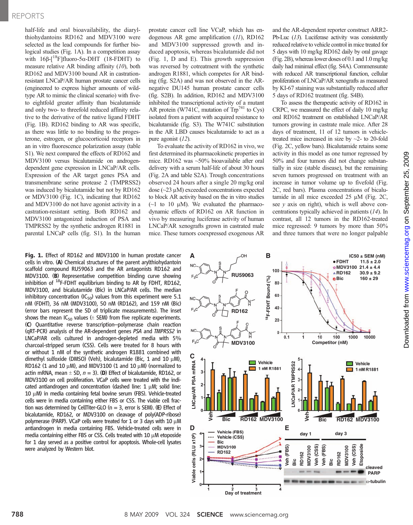# REPORTS

half-life and oral bioavailability, the diarylthiohydantoins RD162 and MDV3100 were selected as the lead compounds for further biological studies (Fig. 1A). In a competition assay with  $16\beta$ - $\lceil$ <sup>18</sup>F]fluoro-5 $\alpha$ -DHT (18-FDHT) to measure relative AR binding affinity (10), both RD162 and MDV3100 bound AR in castrationresistant LNCaP/AR human prostate cancer cells (engineered to express higher amounts of wildtype AR to mimic the clinical scenario) with fiveto eightfold greater affinity than bicalutamide and only two- to threefold reduced affinity relative to the derivative of the native ligand FDHT (Fig. 1B). RD162 binding to AR was specific, as there was little to no binding to the progesterone, estrogen, or glucocorticoid receptors in an in vitro fluorescence polarization assay (table S1). We next compared the effects of RD162 and MDV3100 versus bicalutamide on androgendependent gene expression in LNCaP/AR cells. Expression of the AR target genes PSA and transmembrane serine protease 2 (TMPRSS2) was induced by bicalutamide but not by RD162 or MDV3100 (Fig. 1C), indicating that RD162 and MDV3100 do not have agonist activity in a castration-resistant setting. Both RD162 and MDV3100 antagonized induction of PSA and TMPRSS2 by the synthetic androgen R1881 in parental LNCaP cells (fig. S1). In the human

Fig. 1. Effect of RD162 and MDV3100 in human prostate cancer cells in vitro. (A) Chemical structures of the parent arylthiohydantoin scaffold compound RU59063 and the AR antagonists RD162 and MDV3100. (**B**) Representative competition binding curve showing<br>inhibition of <sup>18</sup>F-FDHT equilibrium binding to AR by FDHT, RD162, MDV3100, and bicalutamide (Bic) in LNCaP/AR cells. The median inhibitory concentration (IC<sub>50</sub>) values from this experiment were 5.1 nM (FDHT), 36 nM (MDV3100), 50 nM (RD162), and 159 nM (Bic) (error bars represent the SD of triplicate measurements). The inset shows the mean  $IC_{50}$  values ( $\pm$  SEM) from five replicate experiments. (C) Quantitative reverse transcription–polymerase chain reaction (qRT-PCR) analysis of the AR-dependent genes PSA and TMPRSS2 in LNCaP/AR cells cultured in androgen-depleted media with 5% charcoal-stripped serum (CSS). Cells were treated for 8 hours with or without 1 nM of the synthetic androgen R1881 combined with dimethyl sulfoxide (DMSO) (Veh), bicalutamide (Bic, 1 and 10  $\mu$ M), RD162 (1 and 10  $\mu$ M), and MDV3100 (1 and 10  $\mu$ M) (normalized to actin mRNA, mean  $\pm$  SD,  $n = 3$ ). (D) Effect of bicalutamide, RD162, or MDV3100 on cell proliferation. VCaP cells were treated with the indicated antiandrogen and concentration (dashed line:  $1 \mu$ M; solid line:  $10 \mu$ M) in media containing fetal bovine serum (FBS). Vehicle-treated cells were in media containing either FBS or CSS. The viable cell fraction was determined by CellTiter-GLO ( $n = 3$ , error is SEM). (E) Effect of bicalutamide, RD162, or MDV3100 on cleavage of poly(ADP-ribose) polymerase (PARP). VCaP cells were treated for 1 or 3 days with 10  $\mu$ M antiandrogen in media containing FBS. Vehicle-treated cells were in media containing either FBS or CSS. Cells treated with  $10 \mu$ M etoposide for 1 day served as a positive control for apoptosis. Whole-cell lysates were analyzed by Western blot.

prostate cancer cell line VCaP, which has endogenous AR gene amplification (11), RD162 and MDV3100 suppressed growth and induced apoptosis, whereas bicalutamide did not (Fig. 1, D and E). This growth suppression was reversed by cotreatment with the synthetic androgen R1881, which competes for AR binding (fig. S2A) and was not observed in the ARnegative DU145 human prostate cancer cells (fig. S2B). In addition, RD162 and MDV3100 inhibited the transcriptional activity of a mutant AR protein (W741C, mutation of  $Trp^{741}$  to Cys) isolated from a patient with acquired resistance to bicalutamide (fig. S3). The W741C substitution in the AR LBD causes bicalutamide to act as a pure agonist (12).

To evaluate the activity of RD162 in vivo, we first determined its pharmacokinetic properties in mice. RD162 was ~50% bioavailable after oral delivery with a serum half-life of about 30 hours (Fig. 2A and table S2A). Trough concentrations observed 24 hours after a single 20 mg/kg oral dose  $(\sim 23 \mu M)$  exceeded concentrations expected to block AR activity based on the in vitro studies  $(\sim]$  to 10  $\mu$ M). We evaluated the pharmacodynamic effects of RD162 on AR function in vivo by measuring luciferase activity of human LNCaP/AR xenografts grown in castrated male mice. These tumors coexpressed exogenous AR

and the AR-dependent reporter construct ARR2- Pb-Luc (13). Luciferase activity was consistently reduced relative to vehicle control in mice treated for 5 days with 10 mg/kg RD162 daily by oral gavage (Fig. 2B), whereas lower doses of 0.1 and 1.0 mg/kg daily had minimal effect (fig. S4A). Commensurate with reduced AR transcriptional function, cellular proliferation of LNCaP/AR xenografts as measured by KI-67 staining was substantially reduced after 5 days of RD162 treatment (fig. S4B).

To assess the therapeutic activity of RD162 in CRPC, we measured the effect of daily 10 mg/kg oral RD162 treatment on established LNCaP/AR tumors growing in castrate male mice. After 28 days of treatment, 11 of 12 tumors in vehicletreated mice increased in size by  $\sim$ 2- to 20-fold (Fig. 2C, yellow bars). Bicalutamide retains some activity in this model as one tumor regressed by 50% and four tumors did not change substantially in size (stable disease), but the remaining seven tumors progressed on treatment with an increase in tumor volume up to fivefold (Fig. 2C, red bars). Plasma concentrations of bicalutamide in all mice exceeded  $25 \mu M$  (Fig. 2C, see  $y$  axis on right), which is well above concentrations typically achieved in patients (14). In contrast, all 12 tumors in the RD162-treated mice regressed: 9 tumors by more than 50% and three tumors that were no longer palpable

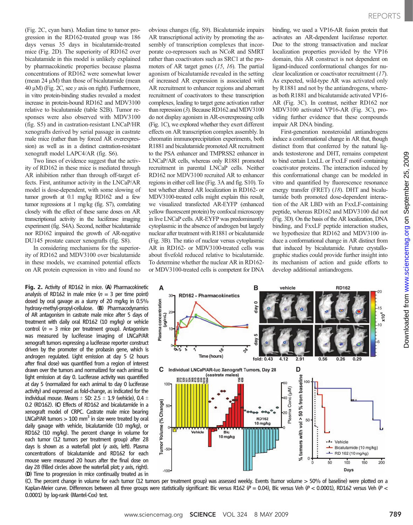(Fig. 2C, cyan bars). Median time to tumor progression in the RD162-treated group was 186 days versus 35 days in bicalutamide-treated mice (Fig. 2D). The superiority of RD162 over bicalutamide in this model is unlikely explained by pharmacokinetic properties because plasma concentrations of RD162 were somewhat lower (mean  $24 \mu M$ ) than those of bicalutamide (mean 40  $\mu$ M) (Fig. 2C, see y axis on right). Furthermore, in vitro protein-binding studies revealed a modest increase in protein-bound RD162 and MDV3100 relative to bicalutamide (table S2B). Tumor responses were also observed with MDV3100 (fig. S5) and in castration-resistant LNCaP/HR xenografts derived by serial passage in castrate male mice (rather than by forced AR overexpression) as well as in a distinct castration-resistant xenograft model LAPC4/AR (fig. S6).

Two lines of evidence suggest that the activity of RD162 in these mice is mediated through AR inhibition rather than through off-target effects. First, antitumor activity in the LNCaP/AR model is dose-dependent, with some slowing of tumor growth at 0.1 mg/kg RD162 and a few tumor regressions at 1 mg/kg (fig. S7), correlating closely with the effect of these same doses on AR transcriptional activity in the luciferase imaging experiment (fig. S4A). Second, neither bicalutamide nor RD162 impaired the growth of AR-negative DU145 prostate cancer xenografts (fig. S8).

In considering mechanisms for the superiority of RD162 and MDV3100 over bicalutamide in these models, we examined potential effects on AR protein expression in vitro and found no

Fig. 2. Activity of RD162 in mice. (A) Pharmacokinetic analysis of RD162 in male mice  $(n = 3$  per time point) dosed by oral gavage as a slurry of 20 mg/kg in 0.5% hydroxy-methyl-propyl-cellulose. (B) Pharmacodynamics of AR antagonism in castrate male mice after 5 days of treatment with daily oral RD162 (10 mg/kg) or vehicle control  $(n = 3$  mice per treatment group). Antagonism was measured by luciferase imaging of LNCaP/AR xenograft tumors expressing a luciferase reporter construct driven by the promoter of the probasin gene, which is androgen regulated. Light emission at day 5 (2 hours after final dose) was quantified from a region of interest drawn over the tumors and normalized for each animal to light emission at day 0. Luciferase activity was quantified at day 5 (normalized for each animal to day 0 luciferase activity) and expressed as fold-change, as indicated for the individual mouse. Means  $\pm$  SD: 2.5  $\pm$  1.9 (vehicle), 0.4  $\pm$ 0.2 (RD162). (C) Effects of RD162 and bicalutamide in a xenograft model of CRPC. Castrate male mice bearing LNCaP/AR tumors  $> 100$  mm<sup>3</sup> in size were treated by oral daily gavage with vehicle, bicalutamide (10 mg/kg), or RD162 (10 mg/kg). The percent change in volume for each tumor (12 tumors per treatment group) after 28 days is shown as a waterfall plot (y axis, left). Plasma concentrations of bicalutamide and RD162 for each mouse were measured 20 hours after the final dose on day 28 (filled circles above the waterfall plot; y axis, right). (D) Time to progression in mice continually treated as in

obvious changes (fig. S9). Bicalutamide impairs AR transcriptional activity by promoting the assembly of transcription complexes that incorporate co-repressors such as NCoR and SMRT rather than coactivators such as SRC1 at the promoters of AR target genes (15, 16). The partial agonism of bicalutamide revealed in the setting of increased AR expression is associated with AR recruitment to enhancer regions and aberrant recruitment of coactivators to these transcription complexes, leading to target gene activation rather than repression (3). Because RD162 and MDV3100 do not display agonism in AR-overexpressing cells (Fig. 1C), we explored whether they exert different effects on AR transcription complex assembly. In chromatin immunoprecipitation experiments, both R1881 and bicalutamide promoted AR recruitment to the PSA enhancer and TMPRSS2 enhancer in LNCaP/AR cells, whereas only R1881 promoted recruitment in parental LNCaP cells. Neither RD162 nor MDV3100 recruited AR to enhancer regions in either cell line (Fig. 3A and fig. S10). To test whether altered AR localization in RD162- or MDV3100-treated cells might explain this result, we visualized transfected AR-EYFP (enhanced yellow fluorescent protein) by confocal microscopy in live LNCaP cells. AR-EYFP was predominantly cytoplasmic in the absence of androgen but largely nuclear after treatment with R1881 or bicalutamide (Fig. 3B). The ratio of nuclear versus cytoplasmic AR in RD162- or MDV3100-treated cells was about fivefold reduced relative to bicalutamide. To determine whether the nuclear AR in RD162 or MDV3100-treated cells is competent for DNA

binding, we used a VP16-AR fusion protein that activates an AR-dependent luciferase reporter. Due to the strong transactivation and nuclear localization properties provided by the VP16 domain, this AR construct is not dependent on ligand-induced conformational changes for nuclear localization or coactivator recruitment (17). As expected, wild-type AR was activated only by R1881 and not by the antiandrogens, whereas both R1881 and bicalutamide activated VP16- AR (Fig. 3C). In contrast, neither RD162 nor MDV3100 activated VP16-AR (Fig. 3C), providing further evidence that these compounds impair AR DNA binding.

First-generation nonsteroidal antiandrogens induce a conformational change in AR that, though distinct from that conferred by the natural ligands testosterone and DHT, remains competent to bind certain LxxLL or FxxLF motif–containing coactivator proteins. The interaction induced by this conformational change can be modeled in vitro and quantified by fluorescence resonance energy transfer (FRET) (18). DHT and bicalutamide both promoted dose-dependent interaction of the AR LBD with an FxxLF-containing peptide, whereas RD162 and MDV3100 did not (Fig. 3D). On the basis of the AR localization, DNA binding, and FxxLF peptide interaction studies, we hypothesize that RD162 and MDV3100 induce a conformational change in AR distinct from that induced by bicalutamide. Future crystallographic studies could provide further insight into its mechanism of action and guide efforts to develop additional antiandrogens.



(C). The percent change in volume for each tumor (12 tumors per treatment group) was assessed weekly. Events (tumor volume > 50% of baseline) were plotted on a Kaplan-Meier curve. Differences between all three groups were statistically significant: Bic versus R162  $(P = 0.04)$ , Bic versus Veh  $(P < 0.0001)$ , RD162 versus Veh  $(P < 0.0001)$ 0.0001) by log-rank (Mantel-Cox) test.